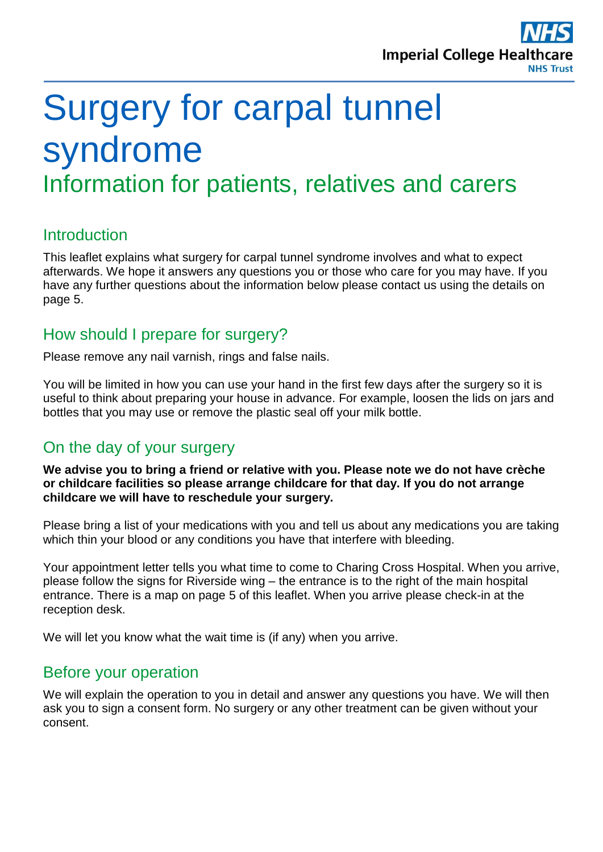

# Surgery for carpal tunnel syndrome Information for patients, relatives and carers

#### **Introduction**

This leaflet explains what surgery for carpal tunnel syndrome involves and what to expect afterwards. We hope it answers any questions you or those who care for you may have. If you have any further questions about the information below please contact us using the details on page 5.

#### How should I prepare for surgery?

Please remove any nail varnish, rings and false nails.

You will be limited in how you can use your hand in the first few days after the surgery so it is useful to think about preparing your house in advance. For example, loosen the lids on jars and bottles that you may use or remove the plastic seal off your milk bottle.

#### On the day of your surgery

**We advise you to bring a friend or relative with you. Please note we do not have crèche or childcare facilities so please arrange childcare for that day. If you do not arrange childcare we will have to reschedule your surgery.**

Please bring a list of your medications with you and tell us about any medications you are taking which thin your blood or any conditions you have that interfere with bleeding.

Your appointment letter tells you what time to come to Charing Cross Hospital. When you arrive, please follow the signs for Riverside wing – the entrance is to the right of the main hospital entrance. There is a map on page 5 of this leaflet. When you arrive please check-in at the reception desk.

We will let you know what the wait time is (if any) when you arrive.

#### Before your operation

We will explain the operation to you in detail and answer any questions you have. We will then ask you to sign a consent form. No surgery or any other treatment can be given without your consent.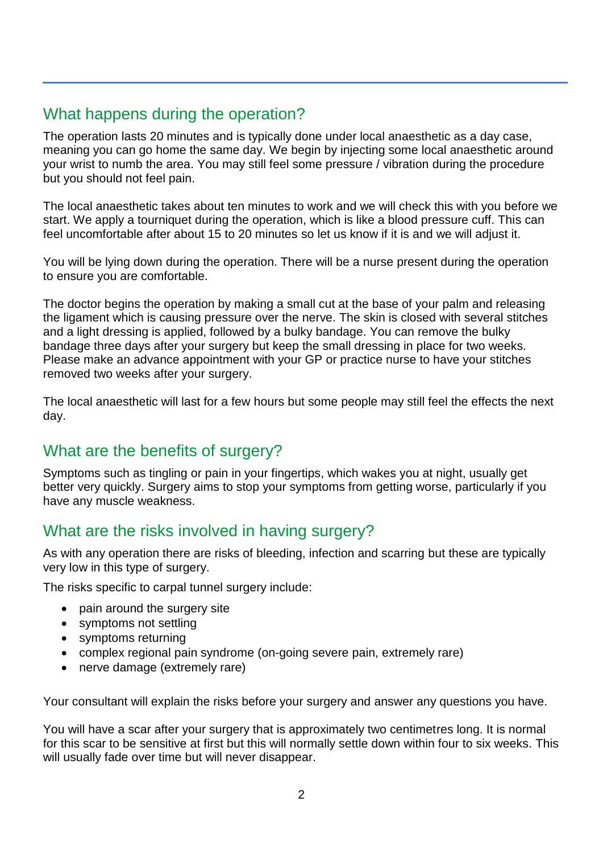## What happens during the operation?

The operation lasts 20 minutes and is typically done under local anaesthetic as a day case, meaning you can go home the same day. We begin by injecting some local anaesthetic around your wrist to numb the area. You may still feel some pressure / vibration during the procedure but you should not feel pain.

The local anaesthetic takes about ten minutes to work and we will check this with you before we start. We apply a tourniquet during the operation, which is like a blood pressure cuff. This can feel uncomfortable after about 15 to 20 minutes so let us know if it is and we will adjust it.

You will be lying down during the operation. There will be a nurse present during the operation to ensure you are comfortable.

The doctor begins the operation by making a small cut at the base of your palm and releasing the ligament which is causing pressure over the nerve. The skin is closed with several stitches and a light dressing is applied, followed by a bulky bandage. You can remove the bulky bandage three days after your surgery but keep the small dressing in place for two weeks. Please make an advance appointment with your GP or practice nurse to have your stitches removed two weeks after your surgery.

The local anaesthetic will last for a few hours but some people may still feel the effects the next day.

## What are the benefits of surgery?

Symptoms such as tingling or pain in your fingertips, which wakes you at night, usually get better very quickly. Surgery aims to stop your symptoms from getting worse, particularly if you have any muscle weakness.

## What are the risks involved in having surgery?

As with any operation there are risks of bleeding, infection and scarring but these are typically very low in this type of surgery.

The risks specific to carpal tunnel surgery include:

- pain around the surgery site
- symptoms not settling
- symptoms returning
- complex regional pain syndrome (on-going severe pain, extremely rare)
- nerve damage (extremely rare)

Your consultant will explain the risks before your surgery and answer any questions you have.

You will have a scar after your surgery that is approximately two centimetres long. It is normal for this scar to be sensitive at first but this will normally settle down within four to six weeks. This will usually fade over time but will never disappear.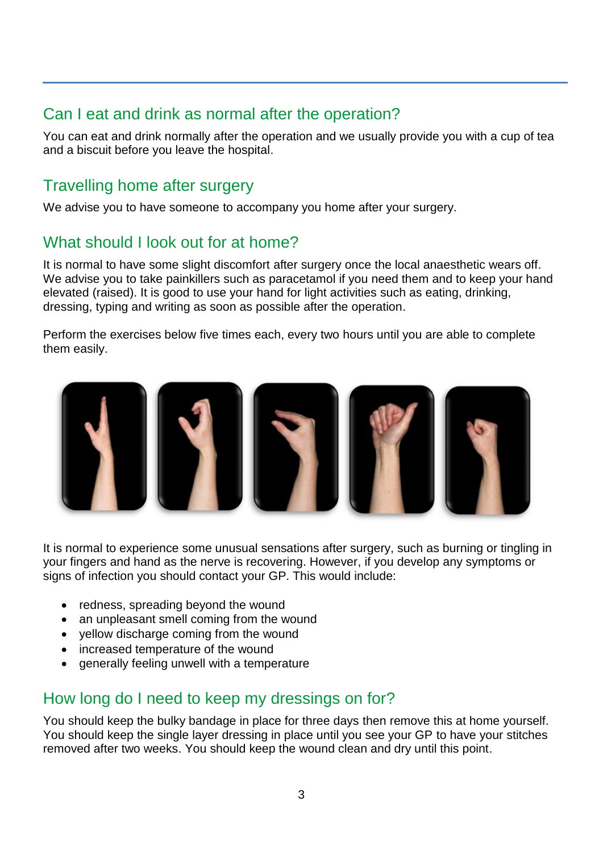## Can I eat and drink as normal after the operation?

You can eat and drink normally after the operation and we usually provide you with a cup of tea and a biscuit before you leave the hospital.

#### Travelling home after surgery

We advise you to have someone to accompany you home after your surgery.

#### What should I look out for at home?

It is normal to have some slight discomfort after surgery once the local anaesthetic wears off. We advise you to take painkillers such as paracetamol if you need them and to keep your hand elevated (raised). It is good to use your hand for light activities such as eating, drinking, dressing, typing and writing as soon as possible after the operation.

Perform the exercises below five times each, every two hours until you are able to complete them easily.



It is normal to experience some unusual sensations after surgery, such as burning or tingling in your fingers and hand as the nerve is recovering. However, if you develop any symptoms or signs of infection you should contact your GP. This would include:

- redness, spreading beyond the wound
- an unpleasant smell coming from the wound
- yellow discharge coming from the wound
- increased temperature of the wound
- generally feeling unwell with a temperature

## How long do I need to keep my dressings on for?

You should keep the bulky bandage in place for three days then remove this at home yourself. You should keep the single layer dressing in place until you see your GP to have your stitches removed after two weeks. You should keep the wound clean and dry until this point.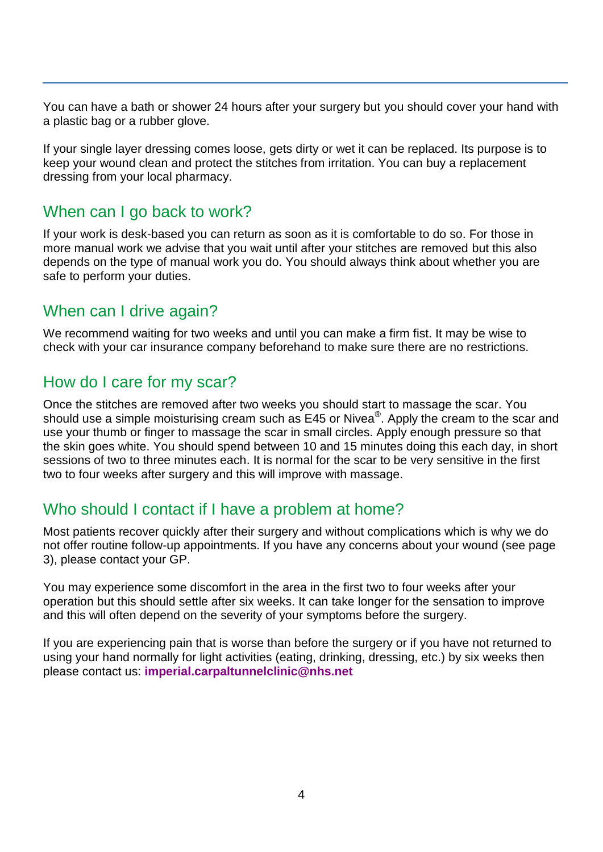You can have a bath or shower 24 hours after your surgery but you should cover your hand with a plastic bag or a rubber glove.

If your single layer dressing comes loose, gets dirty or wet it can be replaced. Its purpose is to keep your wound clean and protect the stitches from irritation. You can buy a replacement dressing from your local pharmacy.

#### When can I go back to work?

If your work is desk-based you can return as soon as it is comfortable to do so. For those in more manual work we advise that you wait until after your stitches are removed but this also depends on the type of manual work you do. You should always think about whether you are safe to perform your duties.

#### When can I drive again?

We recommend waiting for two weeks and until you can make a firm fist. It may be wise to check with your car insurance company beforehand to make sure there are no restrictions.

#### How do I care for my scar?

Once the stitches are removed after two weeks you should start to massage the scar. You should use a simple moisturising cream such as E45 or Nivea $^{\circledR}$ . Apply the cream to the scar and use your thumb or finger to massage the scar in small circles. Apply enough pressure so that the skin goes white. You should spend between 10 and 15 minutes doing this each day, in short sessions of two to three minutes each. It is normal for the scar to be very sensitive in the first two to four weeks after surgery and this will improve with massage.

## Who should I contact if I have a problem at home?

Most patients recover quickly after their surgery and without complications which is why we do not offer routine follow-up appointments. If you have any concerns about your wound (see page 3), please contact your GP.

You may experience some discomfort in the area in the first two to four weeks after your operation but this should settle after six weeks. It can take longer for the sensation to improve and this will often depend on the severity of your symptoms before the surgery.

If you are experiencing pain that is worse than before the surgery or if you have not returned to using your hand normally for light activities (eating, drinking, dressing, etc.) by six weeks then please contact us: **[imperial.carpaltunnelclinic@nhs.net](mailto:imperial.carpaltunnelclinic@nhs.net)**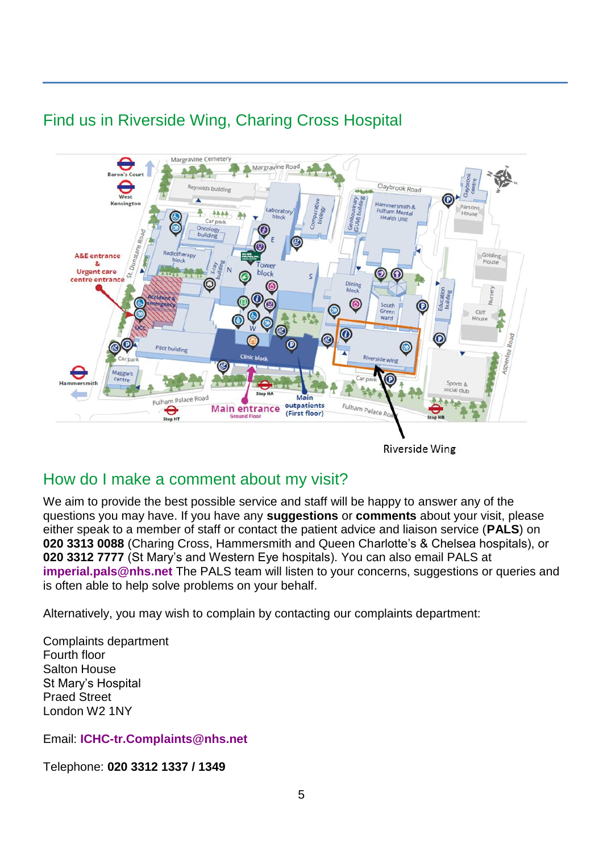# Find us in Riverside Wing, Charing Cross Hospital



**Riverside Wing** 

#### How do I make a comment about my visit?

We aim to provide the best possible service and staff will be happy to answer any of the questions you may have. If you have any **suggestions** or **comments** about your visit, please either speak to a member of staff or contact the patient advice and liaison service (**PALS**) on **020 3313 0088** (Charing Cross, Hammersmith and Queen Charlotte's & Chelsea hospitals), or **020 3312 7777** (St Mary's and Western Eye hospitals). You can also email PALS at **[imperial.pals@nhs.net](mailto:imperial.pals@nhs.net)** The PALS team will listen to your concerns, suggestions or queries and is often able to help solve problems on your behalf.

Alternatively, you may wish to complain by contacting our complaints department:

Complaints department Fourth floor Salton House St Mary's Hospital Praed Street London W2 1NY

Email: **[ICHC-tr.Complaints@nhs.net](mailto:ICHC-tr.Complaints@nhs.net)**

Telephone: **020 3312 1337 / 1349**